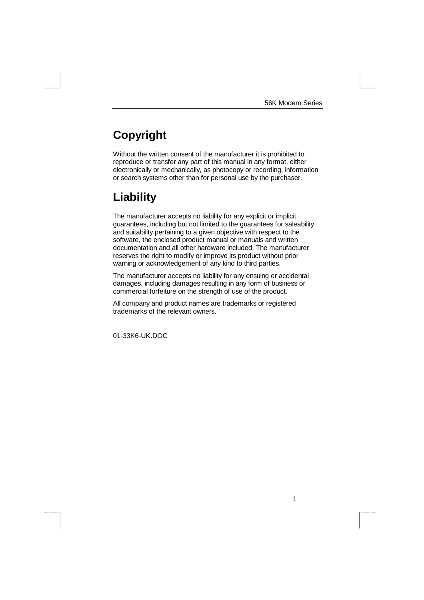1

# **Copyright**

Without the written consent of the manufacturer it is prohibited to reproduce or transfer any part of this manual in any format, either electronically or mechanically, as photocopy or recording, information or search systems other than for personal use by the purchaser.

## **Liability**

The manufacturer accepts no liability for any explicit or implicit guarantees, including but not limited to the guarantees for saleability and suitability pertaining to a given objective with respect to the software, the enclosed product manual or manuals and written documentation and all other hardware included. The manufacturer reserves the right to modify or improve its product without prior warning or acknowledgement of any kind to third parties.

The manufacturer accepts no liability for any ensuing or accidental damages, including damages resulting in any form of business or commercial forfeiture on the strength of use of the product.

All company and product names are trademarks or registered trademarks of the relevant owners.

01-33K6-UK.DOC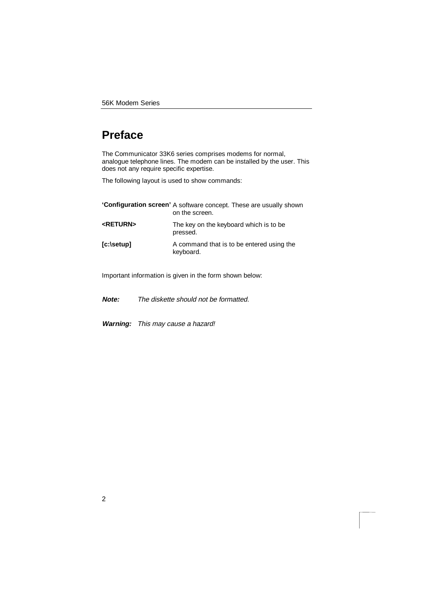# **Preface**

The Communicator 33K6 series comprises modems for normal, analogue telephone lines. The modem can be installed by the user. This does not any require specific expertise.

The following layout is used to show commands:

|                          | 'Configuration screen' A software concept. These are usually shown<br>on the screen. |
|--------------------------|--------------------------------------------------------------------------------------|
| <b><return></return></b> | The key on the keyboard which is to be<br>pressed.                                   |
| $[c:\set{setup}]$        | A command that is to be entered using the<br>keyboard.                               |

Important information is given in the form shown below:

**Note:** The diskette should not be formatted.

**Warning:** This may cause a hazard!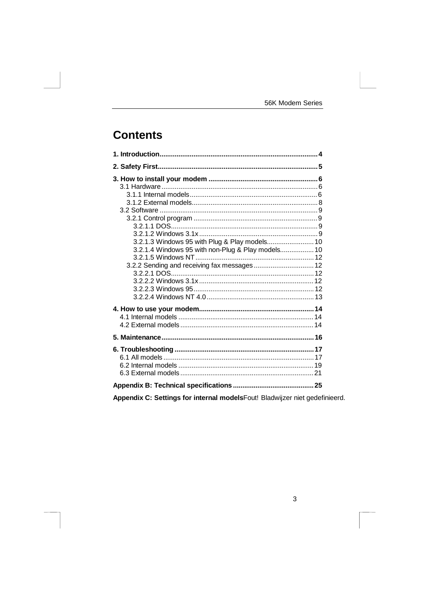# **Contents**

| 3.2.1.3 Windows 95 with Plug & Play models 10<br>3.2.1.4 Windows 95 with non-Plug & Play models 10 |  |
|----------------------------------------------------------------------------------------------------|--|
|                                                                                                    |  |
|                                                                                                    |  |
|                                                                                                    |  |
|                                                                                                    |  |

Appendix C: Settings for internal modelsFout! Bladwijzer niet gedefinieerd.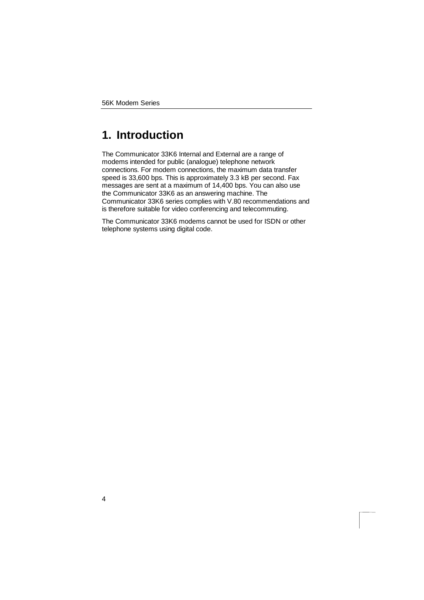# **1. Introduction**

The Communicator 33K6 Internal and External are a range of modems intended for public (analogue) telephone network connections. For modem connections, the maximum data transfer speed is 33,600 bps. This is approximately 3.3 kB per second. Fax messages are sent at a maximum of 14,400 bps. You can also use the Communicator 33K6 as an answering machine. The Communicator 33K6 series complies with V.80 recommendations and is therefore suitable for video conferencing and telecommuting.

The Communicator 33K6 modems cannot be used for ISDN or other telephone systems using digital code.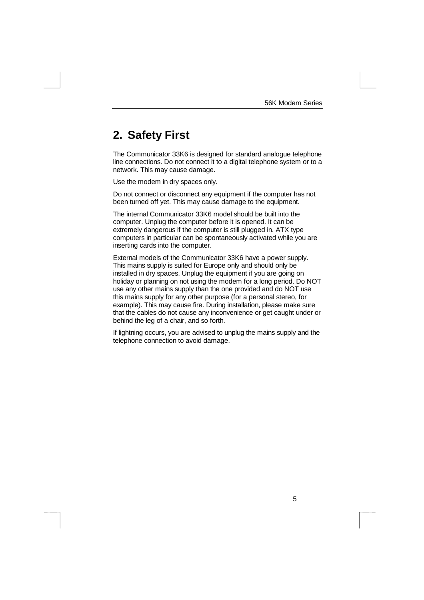# **2. Safety First**

The Communicator 33K6 is designed for standard analogue telephone line connections. Do not connect it to a digital telephone system or to a network. This may cause damage.

Use the modem in dry spaces only.

Do not connect or disconnect any equipment if the computer has not been turned off yet. This may cause damage to the equipment.

The internal Communicator 33K6 model should be built into the computer. Unplug the computer before it is opened. It can be extremely dangerous if the computer is still plugged in. ATX type computers in particular can be spontaneously activated while you are inserting cards into the computer.

External models of the Communicator 33K6 have a power supply. This mains supply is suited for Europe only and should only be installed in dry spaces. Unplug the equipment if you are going on holiday or planning on not using the modem for a long period. Do NOT use any other mains supply than the one provided and do NOT use this mains supply for any other purpose (for a personal stereo, for example). This may cause fire. During installation, please make sure that the cables do not cause any inconvenience or get caught under or behind the leg of a chair, and so forth.

If lightning occurs, you are advised to unplug the mains supply and the telephone connection to avoid damage.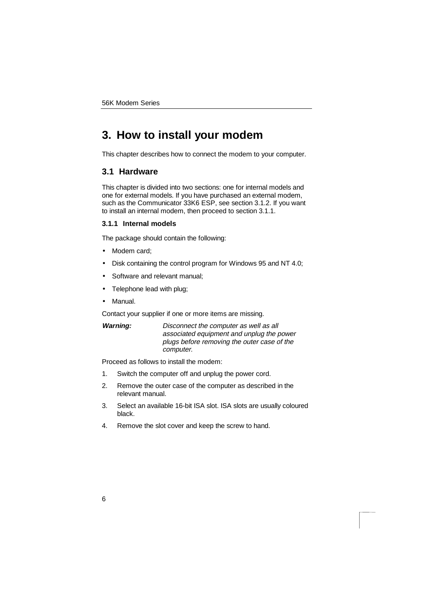# **3. How to install your modem**

This chapter describes how to connect the modem to your computer.

### **3.1 Hardware**

This chapter is divided into two sections: one for internal models and one for external models. If you have purchased an external modem, such as the Communicator 33K6 ESP, see section 3.1.2. If you want to install an internal modem, then proceed to section 3.1.1.

### **3.1.1 Internal models**

The package should contain the following:

- Modem card;
- Disk containing the control program for Windows 95 and NT 4.0;
- Software and relevant manual;
- Telephone lead with plug;
- Manual.

Contact your supplier if one or more items are missing.

| Warning: | Disconnect the computer as well as all      |
|----------|---------------------------------------------|
|          | associated equipment and unplug the power   |
|          | plugs before removing the outer case of the |
|          | computer.                                   |

Proceed as follows to install the modem:

- 1. Switch the computer off and unplug the power cord.
- 2. Remove the outer case of the computer as described in the relevant manual.
- 3. Select an available 16-bit ISA slot. ISA slots are usually coloured black.
- 4. Remove the slot cover and keep the screw to hand.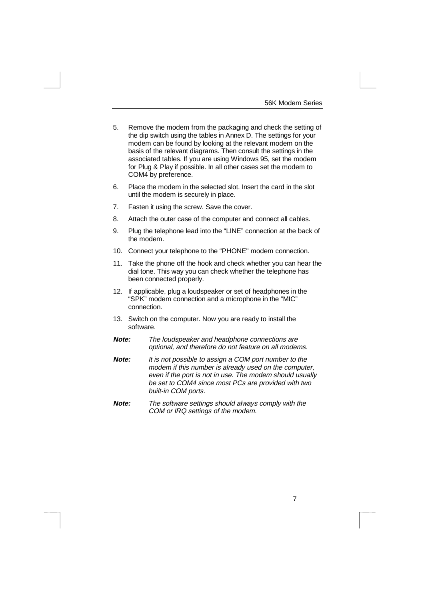- 5. Remove the modem from the packaging and check the setting of the dip switch using the tables in Annex D. The settings for your modem can be found by looking at the relevant modem on the basis of the relevant diagrams. Then consult the settings in the associated tables. If you are using Windows 95, set the modem for Plug & Play if possible. In all other cases set the modem to COM4 by preference.
- 6. Place the modem in the selected slot. Insert the card in the slot until the modem is securely in place.
- 7. Fasten it using the screw. Save the cover.
- 8. Attach the outer case of the computer and connect all cables.
- 9. Plug the telephone lead into the "LINE" connection at the back of the modem.
- 10. Connect your telephone to the "PHONE" modem connection.
- 11. Take the phone off the hook and check whether you can hear the dial tone. This way you can check whether the telephone has been connected properly.
- 12. If applicable, plug a loudspeaker or set of headphones in the "SPK" modem connection and a microphone in the "MIC" connection.
- 13. Switch on the computer. Now you are ready to install the software.
- **Note:** The loudspeaker and headphone connections are optional, and therefore do not feature on all modems.
- **Note:** It is not possible to assign a COM port number to the modem if this number is already used on the computer, even if the port is not in use. The modem should usually be set to COM4 since most PCs are provided with two built-in COM ports.
- **Note:** The software settings should always comply with the COM or IRQ settings of the modem.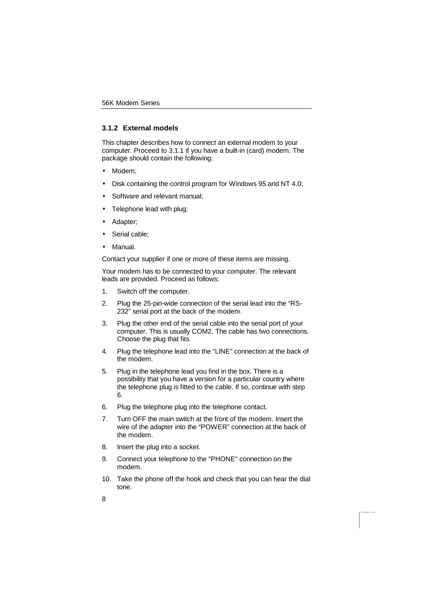### **3.1.2 External models**

This chapter describes how to connect an external modem to your computer. Proceed to 3.1.1 if you have a built-in (card) modem. The package should contain the following:

- Modem;
- Disk containing the control program for Windows 95 and NT 4.0;
- Software and relevant manual;
- Telephone lead with plug;
- Adapter;
- Serial cable:
- Manual.

Contact your supplier if one or more of these items are missing.

Your modem has to be connected to your computer. The relevant leads are provided. Proceed as follows:

- 1. Switch off the computer.
- 2. Plug the 25-pin-wide connection of the serial lead into the "RS-232" serial port at the back of the modem.
- 3. Plug the other end of the serial cable into the serial port of your computer. This is usually COM2. The cable has two connections. Choose the plug that fits.
- 4. Plug the telephone lead into the "LINE" connection at the back of the modem.
- 5. Plug in the telephone lead you find in the box. There is a possibility that you have a version for a particular country where the telephone plug is fitted to the cable. If so, continue with step 6.
- 6. Plug the telephone plug into the telephone contact.
- 7. Turn OFF the main switch at the front of the modem. Insert the wire of the adapter into the "POWER" connection at the back of the modem.
- 8. Insert the plug into a socket.
- 9. Connect your telephone to the "PHONE" connection on the modem.
- 10. Take the phone off the hook and check that you can hear the dial tone.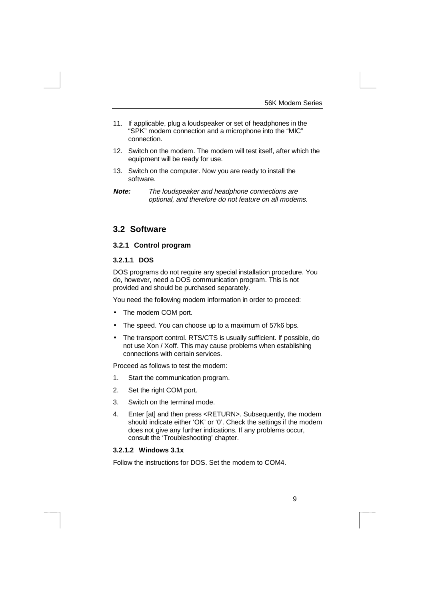- 11. If applicable, plug a loudspeaker or set of headphones in the "SPK" modem connection and a microphone into the "MIC" connection.
- 12. Switch on the modem. The modem will test itself, after which the equipment will be ready for use.
- 13. Switch on the computer. Now you are ready to install the software.

### **3.2 Software**

### **3.2.1 Control program**

#### **3.2.1.1 DOS**

DOS programs do not require any special installation procedure. You do, however, need a DOS communication program. This is not provided and should be purchased separately.

You need the following modem information in order to proceed:

- The modem COM port.
- The speed. You can choose up to a maximum of 57k6 bps.
- The transport control. RTS/CTS is usually sufficient. If possible, do not use Xon / Xoff. This may cause problems when establishing connections with certain services.

Proceed as follows to test the modem:

- 1. Start the communication program.
- 2. Set the right COM port.
- 3. Switch on the terminal mode.
- 4. Enter [at] and then press <RETURN>. Subsequently, the modem should indicate either 'OK' or '0'. Check the settings if the modem does not give any further indications. If any problems occur, consult the 'Troubleshooting' chapter.

### **3.2.1.2 Windows 3.1x**

Follow the instructions for DOS. Set the modem to COM4.

**Note:** The loudspeaker and headphone connections are optional, and therefore do not feature on all modems.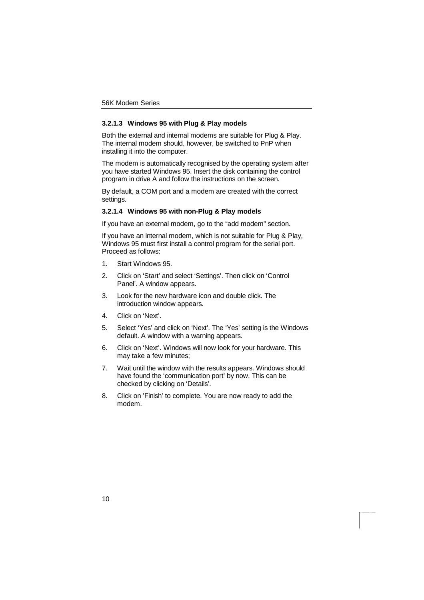#### **3.2.1.3 Windows 95 with Plug & Play models**

Both the external and internal modems are suitable for Plug & Play. The internal modem should, however, be switched to PnP when installing it into the computer.

The modem is automatically recognised by the operating system after you have started Windows 95. Insert the disk containing the control program in drive A and follow the instructions on the screen.

By default, a COM port and a modem are created with the correct settings.

#### **3.2.1.4 Windows 95 with non-Plug & Play models**

If you have an external modem, go to the "add modem" section.

If you have an internal modem, which is not suitable for Plug & Play, Windows 95 must first install a control program for the serial port. Proceed as follows:

- 1. Start Windows 95.
- 2. Click on 'Start' and select 'Settings'. Then click on 'Control Panel'. A window appears.
- 3. Look for the new hardware icon and double click. The introduction window appears.
- 4. Click on 'Next'.
- 5. Select 'Yes' and click on 'Next'. The 'Yes' setting is the Windows default. A window with a warning appears.
- 6. Click on 'Next'. Windows will now look for your hardware. This may take a few minutes;
- 7. Wait until the window with the results appears. Windows should have found the 'communication port' by now. This can be checked by clicking on 'Details'.
- 8. Click on 'Finish' to complete. You are now ready to add the modem.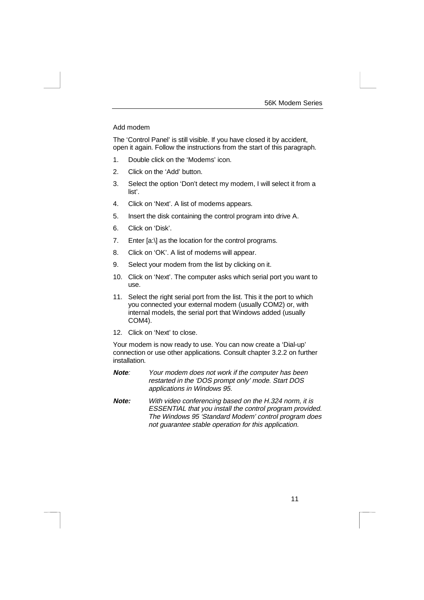#### Add modem

The 'Control Panel' is still visible. If you have closed it by accident, open it again. Follow the instructions from the start of this paragraph.

- 1. Double click on the 'Modems' icon.
- 2. Click on the 'Add' button.
- 3. Select the option 'Don't detect my modem, I will select it from a list'.
- 4. Click on 'Next'. A list of modems appears.
- 5. Insert the disk containing the control program into drive A.
- 6. Click on 'Disk'.
- 7. Enter [a:\] as the location for the control programs.
- 8. Click on 'OK'. A list of modems will appear.
- 9. Select your modem from the list by clicking on it.
- 10. Click on 'Next'. The computer asks which serial port you want to use.
- 11. Select the right serial port from the list. This it the port to which you connected your external modem (usually COM2) or, with internal models, the serial port that Windows added (usually COM4).
- 12. Click on 'Next' to close.

Your modem is now ready to use. You can now create a 'Dial-up' connection or use other applications. Consult chapter 3.2.2 on further installation.

- **Note**: Your modem does not work if the computer has been restarted in the 'DOS prompt only' mode. Start DOS applications in Windows 95.
- **Note:** With video conferencing based on the H.324 norm, it is ESSENTIAL that you install the control program provided. The Windows 95 'Standard Modem' control program does not guarantee stable operation for this application.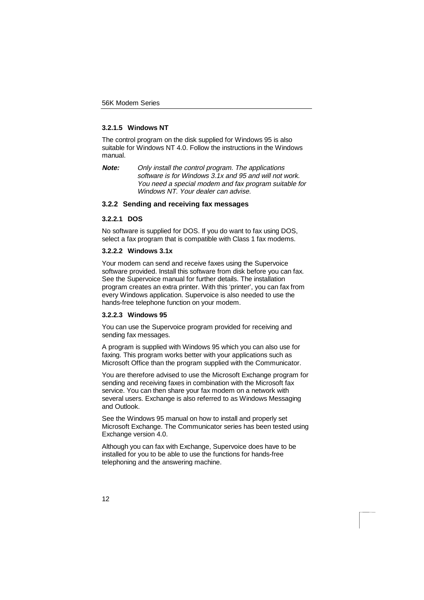#### **3.2.1.5 Windows NT**

The control program on the disk supplied for Windows 95 is also suitable for Windows NT 4.0. Follow the instructions in the Windows manual.

**Note:** Only install the control program. The applications software is for Windows 3.1x and 95 and will not work. You need a special modem and fax program suitable for Windows NT. Your dealer can advise.

### **3.2.2 Sending and receiving fax messages**

#### **3.2.2.1 DOS**

No software is supplied for DOS. If you do want to fax using DOS, select a fax program that is compatible with Class 1 fax modems.

#### **3.2.2.2 Windows 3.1x**

Your modem can send and receive faxes using the Supervoice software provided. Install this software from disk before you can fax. See the Supervoice manual for further details. The installation program creates an extra printer. With this 'printer', you can fax from every Windows application. Supervoice is also needed to use the hands-free telephone function on your modem.

#### **3.2.2.3 Windows 95**

You can use the Supervoice program provided for receiving and sending fax messages.

A program is supplied with Windows 95 which you can also use for faxing. This program works better with your applications such as Microsoft Office than the program supplied with the Communicator.

You are therefore advised to use the Microsoft Exchange program for sending and receiving faxes in combination with the Microsoft fax service. You can then share your fax modem on a network with several users. Exchange is also referred to as Windows Messaging and Outlook.

See the Windows 95 manual on how to install and properly set Microsoft Exchange. The Communicator series has been tested using Exchange version 4.0.

Although you can fax with Exchange, Supervoice does have to be installed for you to be able to use the functions for hands-free telephoning and the answering machine.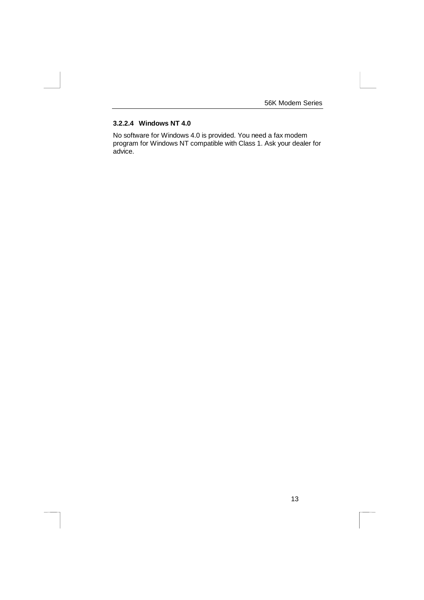### **3.2.2.4 Windows NT 4.0**

No software for Windows 4.0 is provided. You need a fax modem program for Windows NT compatible with Class 1. Ask your dealer for advice.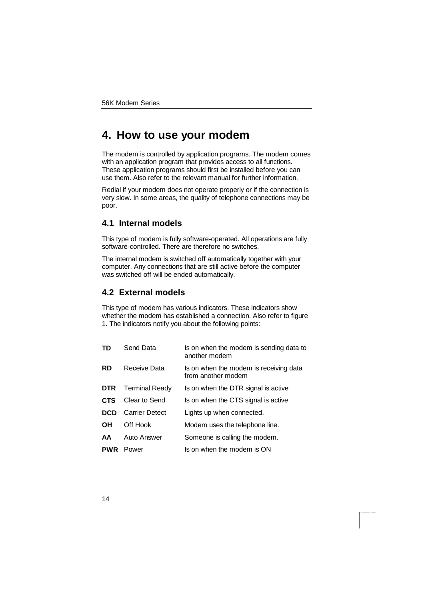## **4. How to use your modem**

The modem is controlled by application programs. The modem comes with an application program that provides access to all functions. These application programs should first be installed before you can use them. Also refer to the relevant manual for further information.

Redial if your modem does not operate properly or if the connection is very slow. In some areas, the quality of telephone connections may be poor.

### **4.1 Internal models**

This type of modem is fully software-operated. All operations are fully software-controlled. There are therefore no switches.

The internal modem is switched off automatically together with your computer. Any connections that are still active before the computer was switched off will be ended automatically.

### **4.2 External models**

This type of modem has various indicators. These indicators show whether the modem has established a connection. Also refer to figure 1. The indicators notify you about the following points:

| TD         | Send Data             | Is on when the modem is sending data to<br>another modem     |
|------------|-----------------------|--------------------------------------------------------------|
| <b>RD</b>  | Receive Data          | Is on when the modem is receiving data<br>from another modem |
| <b>DTR</b> | <b>Terminal Ready</b> | Is on when the DTR signal is active                          |
| <b>CTS</b> | Clear to Send         | Is on when the CTS signal is active                          |
| <b>DCD</b> | <b>Carrier Detect</b> | Lights up when connected.                                    |
| OН         | Off Hook              | Modem uses the telephone line.                               |
| AA         | Auto Answer           | Someone is calling the modem.                                |
| <b>PWR</b> | Power                 | Is on when the modem is ON                                   |
|            |                       |                                                              |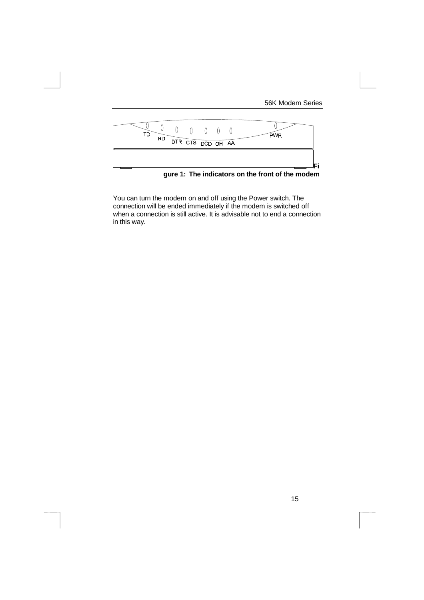

**gure 1: The indicators on the front of the modem**

You can turn the modem on and off using the Power switch. The connection will be ended immediately if the modem is switched off when a connection is still active. It is advisable not to end a connection in this way.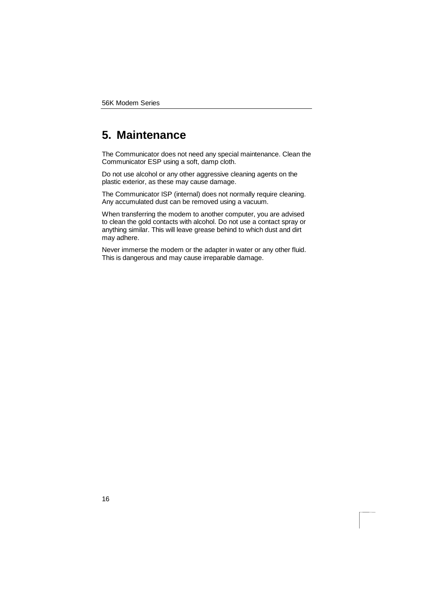# **5. Maintenance**

The Communicator does not need any special maintenance. Clean the Communicator ESP using a soft, damp cloth.

Do not use alcohol or any other aggressive cleaning agents on the plastic exterior, as these may cause damage.

The Communicator ISP (internal) does not normally require cleaning. Any accumulated dust can be removed using a vacuum.

When transferring the modem to another computer, you are advised to clean the gold contacts with alcohol. Do not use a contact spray or anything similar. This will leave grease behind to which dust and dirt may adhere.

Never immerse the modem or the adapter in water or any other fluid. This is dangerous and may cause irreparable damage.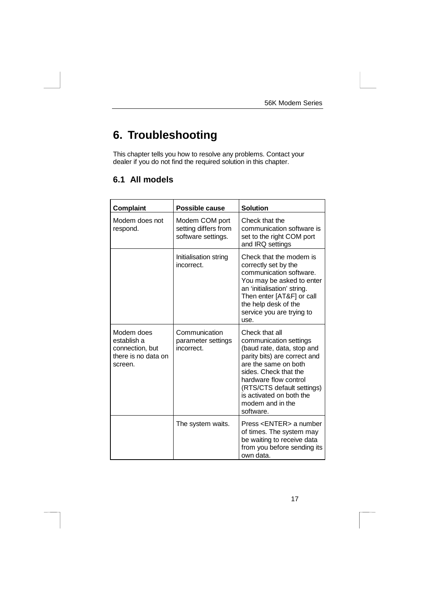# **6. Troubleshooting**

This chapter tells you how to resolve any problems. Contact your dealer if you do not find the required solution in this chapter.

## **6.1 All models**

| Complaint                                                                      | Possible cause                                               | <b>Solution</b>                                                                                                                                                                                                                                                             |
|--------------------------------------------------------------------------------|--------------------------------------------------------------|-----------------------------------------------------------------------------------------------------------------------------------------------------------------------------------------------------------------------------------------------------------------------------|
| Modem does not<br>respond.                                                     | Modem COM port<br>setting differs from<br>software settings. | Check that the<br>communication software is<br>set to the right COM port<br>and IRQ settings                                                                                                                                                                                |
|                                                                                | Initialisation string<br>incorrect.                          | Check that the modem is<br>correctly set by the<br>communication software.<br>You may be asked to enter<br>an 'initialisation' string.<br>Then enter [AT&F] or call<br>the help desk of the<br>service you are trying to<br>use.                                            |
| Modem does<br>establish a<br>connection, but<br>there is no data on<br>screen. | Communication<br>parameter settings<br>incorrect.            | Check that all<br>communication settings<br>(baud rate, data, stop and<br>parity bits) are correct and<br>are the same on both<br>sides. Check that the<br>hardware flow control<br>(RTS/CTS default settings)<br>is activated on both the<br>modem and in the<br>software. |
|                                                                                | The system waits.                                            | Press <enter> a number<br/>of times. The system may<br/>be waiting to receive data<br/>from you before sending its<br/>own data.</enter>                                                                                                                                    |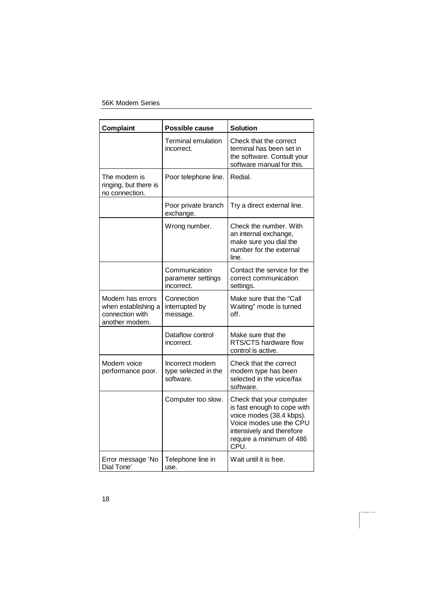| <b>Complaint</b>                                                             | Possible cause                                       | <b>Solution</b>                                                                                                                                                                 |
|------------------------------------------------------------------------------|------------------------------------------------------|---------------------------------------------------------------------------------------------------------------------------------------------------------------------------------|
|                                                                              | <b>Terminal emulation</b><br>incorrect.              | Check that the correct<br>terminal has been set in<br>the software. Consult your<br>software manual for this.                                                                   |
| The modem is<br>ringing, but there is<br>no connection.                      | Poor telephone line.                                 | Redial.                                                                                                                                                                         |
|                                                                              | Poor private branch<br>exchange.                     | Try a direct external line.                                                                                                                                                     |
|                                                                              | Wrong number.                                        | Check the number. With<br>an internal exchange,<br>make sure you dial the<br>number for the external<br>line.                                                                   |
|                                                                              | Communication<br>parameter settings<br>incorrect.    | Contact the service for the<br>correct communication<br>settings.                                                                                                               |
| Modem has errors<br>when establishing a<br>connection with<br>another modem. | Connection<br>interrupted by<br>message.             | Make sure that the "Call<br>Waiting" mode is turned<br>off.                                                                                                                     |
|                                                                              | Dataflow control<br>incorrect.                       | Make sure that the<br>RTS/CTS hardware flow<br>control is active.                                                                                                               |
| Modem voice<br>performance poor.                                             | Incorrect modem<br>type selected in the<br>software. | Check that the correct<br>modem type has been<br>selected in the voice/fax<br>software.                                                                                         |
|                                                                              | Computer too slow.                                   | Check that your computer<br>is fast enough to cope with<br>voice modes (38.4 kbps).<br>Voice modes use the CPU<br>intensively and therefore<br>require a minimum of 486<br>CPU. |
| Error message 'No<br>Dial Tone'                                              | Telephone line in<br>use.                            | Wait until it is free.                                                                                                                                                          |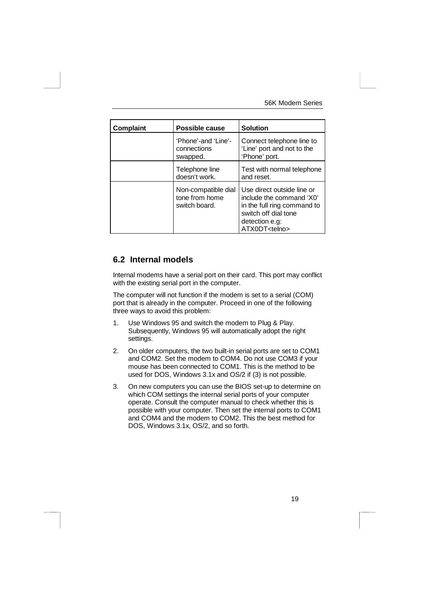| Complaint | Possible cause                                         | <b>Solution</b>                                                                                                                                           |
|-----------|--------------------------------------------------------|-----------------------------------------------------------------------------------------------------------------------------------------------------------|
|           | 'Phone'-and 'Line'-<br>connections<br>swapped.         | Connect telephone line to<br>'Line' port and not to the<br>'Phone' port.                                                                                  |
|           | Telephone line<br>doesn't work.                        | Test with normal telephone<br>and reset.                                                                                                                  |
|           | Non-compatible dial<br>tone from home<br>switch board. | Use direct outside line or<br>include the command 'X0'<br>in the full ring command to<br>switch off dial tone<br>detection e.g:<br>ATX0DT <telno></telno> |

### **6.2 Internal models**

Internal modems have a serial port on their card. This port may conflict with the existing serial port in the computer.

The computer will not function if the modem is set to a serial (COM) port that is already in the computer. Proceed in one of the following three ways to avoid this problem:

- 1. Use Windows 95 and switch the modem to Plug & Play. Subsequently, Windows 95 will automatically adopt the right settings.
- 2. On older computers, the two built-in serial ports are set to COM1 and COM2. Set the modem to COM4. Do not use COM3 if your mouse has been connected to COM1. This is the method to be used for DOS, Windows 3.1x and OS/2 if (3) is not possible.
- 3. On new computers you can use the BIOS set-up to determine on which COM settings the internal serial ports of your computer operate. Consult the computer manual to check whether this is possible with your computer. Then set the internal ports to COM1 and COM4 and the modem to COM2. This the best method for DOS, Windows 3.1x, OS/2, and so forth.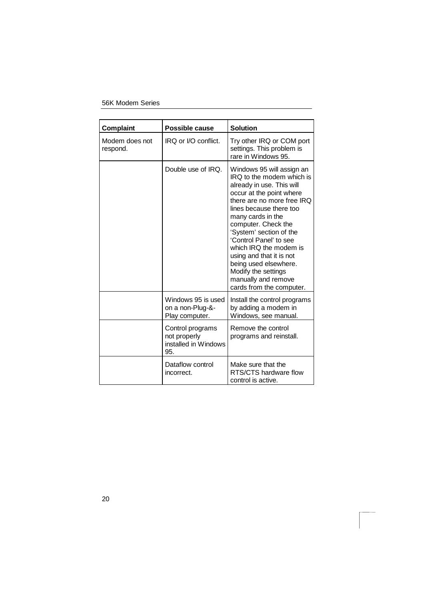| Complaint                  | Possible cause                                                  | <b>Solution</b>                                                                                                                                                                                                                                                                                                                                                                                                                    |
|----------------------------|-----------------------------------------------------------------|------------------------------------------------------------------------------------------------------------------------------------------------------------------------------------------------------------------------------------------------------------------------------------------------------------------------------------------------------------------------------------------------------------------------------------|
| Modem does not<br>respond. | IRQ or I/O conflict.                                            | Try other IRQ or COM port<br>settings. This problem is<br>rare in Windows 95.                                                                                                                                                                                                                                                                                                                                                      |
|                            | Double use of IRQ.                                              | Windows 95 will assign an<br>IRQ to the modem which is<br>already in use. This will<br>occur at the point where<br>there are no more free IRQ<br>lines because there too<br>many cards in the<br>computer. Check the<br>'System' section of the<br>'Control Panel' to see<br>which IRQ the modem is<br>using and that it is not<br>being used elsewhere.<br>Modify the settings<br>manually and remove<br>cards from the computer. |
|                            | Windows 95 is used<br>on a non-Plug-&-<br>Play computer.        | Install the control programs<br>by adding a modem in<br>Windows, see manual.                                                                                                                                                                                                                                                                                                                                                       |
|                            | Control programs<br>not properly<br>installed in Windows<br>95. | Remove the control<br>programs and reinstall.                                                                                                                                                                                                                                                                                                                                                                                      |
|                            | Dataflow control<br>incorrect.                                  | Make sure that the<br>RTS/CTS hardware flow<br>control is active.                                                                                                                                                                                                                                                                                                                                                                  |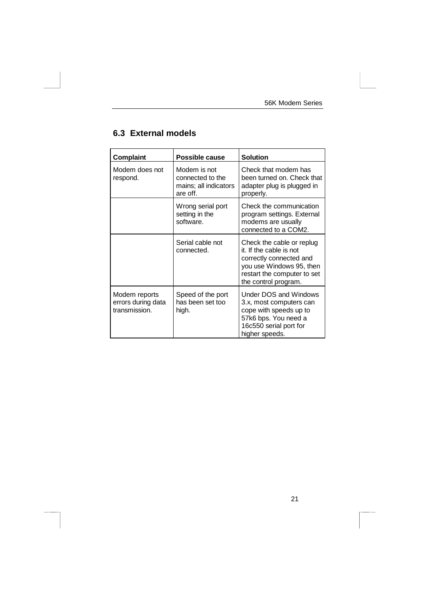| Complaint                                            | <b>Possible cause</b>                                                 | <b>Solution</b>                                                                                                                                                    |
|------------------------------------------------------|-----------------------------------------------------------------------|--------------------------------------------------------------------------------------------------------------------------------------------------------------------|
| Modem does not<br>respond.                           | Modem is not<br>connected to the<br>mains; all indicators<br>are off. | Check that modem has<br>been turned on. Check that<br>adapter plug is plugged in<br>properly.                                                                      |
|                                                      | Wrong serial port<br>setting in the<br>software.                      | Check the communication<br>program settings. External<br>modems are usually<br>connected to a COM2.                                                                |
|                                                      | Serial cable not<br>connected.                                        | Check the cable or replug<br>it. If the cable is not<br>correctly connected and<br>you use Windows 95, then<br>restart the computer to set<br>the control program. |
| Modem reports<br>errors during data<br>transmission. | Speed of the port<br>has been set too<br>high.                        | Under DOS and Windows<br>3.x, most computers can<br>cope with speeds up to<br>57k6 bps. You need a<br>16c550 serial port for<br>higher speeds.                     |

## **6.3 External models**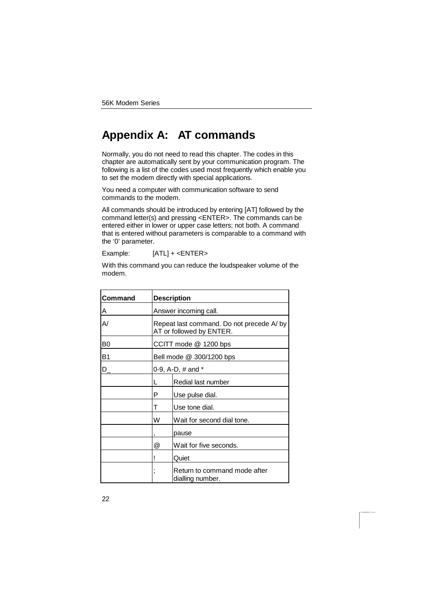# **Appendix A: AT commands**

Normally, you do not need to read this chapter. The codes in this chapter are automatically sent by your communication program. The following is a list of the codes used most frequently which enable you to set the modem directly with special applications.

You need a computer with communication software to send commands to the modem.

All commands should be introduced by entering [AT] followed by the command letter(s) and pressing <ENTER>. The commands can be entered either in lower or upper case letters; not both. A command that is entered without parameters is comparable to a command with the '0' parameter.

Example: [ATL] + <ENTER>

With this command you can reduce the loudspeaker volume of the modem.

| Command        |   | <b>Description</b>                                                   |  |
|----------------|---|----------------------------------------------------------------------|--|
| A              |   | Answer incoming call.                                                |  |
| A/             |   | Repeat last command. Do not precede A/by<br>AT or followed by ENTER. |  |
| B <sub>0</sub> |   | CCITT mode @ 1200 bps                                                |  |
| B1             |   | Bell mode @ 300/1200 bps                                             |  |
| D              |   | 0-9, A-D, # and *                                                    |  |
|                | L | Redial last number                                                   |  |
|                | P | Use pulse dial.                                                      |  |
|                | т | Use tone dial.                                                       |  |
|                | W | Wait for second dial tone.                                           |  |
|                |   | pause                                                                |  |
|                | @ | Wait for five seconds.                                               |  |
| Quiet          |   |                                                                      |  |
|                | , | Return to command mode after<br>dialling number.                     |  |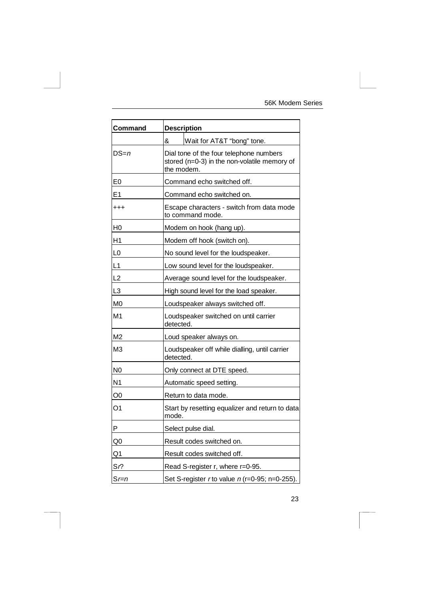| Command           |           | <b>Description</b>                                                                                    |
|-------------------|-----------|-------------------------------------------------------------------------------------------------------|
|                   | &         | Wait for AT&T "bong" tone.                                                                            |
| DS=n              |           | Dial tone of the four telephone numbers<br>stored (n=0-3) in the non-volatile memory of<br>the modem. |
| E <sub>0</sub>    |           | Command echo switched off.                                                                            |
| E1                |           | Command echo switched on.                                                                             |
| $^{\mathrm{+++}}$ |           | Escape characters - switch from data mode<br>to command mode.                                         |
| H0                |           | Modem on hook (hang up).                                                                              |
| Η1                |           | Modem off hook (switch on).                                                                           |
| L <sub>0</sub>    |           | No sound level for the loudspeaker.                                                                   |
| L1                |           | Low sound level for the loudspeaker.                                                                  |
| L2                |           | Average sound level for the loudspeaker.                                                              |
| L <sub>3</sub>    |           | High sound level for the load speaker.                                                                |
| M0                |           | Loudspeaker always switched off.                                                                      |
| M <sub>1</sub>    | detected. | Loudspeaker switched on until carrier                                                                 |
| M2                |           | Loud speaker always on.                                                                               |
| MЗ                | detected. | Loudspeaker off while dialling, until carrier                                                         |
| N0                |           | Only connect at DTE speed.                                                                            |
| N <sub>1</sub>    |           | Automatic speed setting.                                                                              |
| O <sub>0</sub>    |           | Return to data mode.                                                                                  |
| Ο1                | mode.     | Start by resetting equalizer and return to data                                                       |
| Ρ                 |           | Select pulse dial.                                                                                    |
| Q0                |           | Result codes switched on.                                                                             |
| Q1                |           | Result codes switched off.                                                                            |
| Sr?               |           | Read S-register r, where r=0-95.                                                                      |
| $Sr=n$            |           | Set S-register r to value $n$ (r=0-95; n=0-255).                                                      |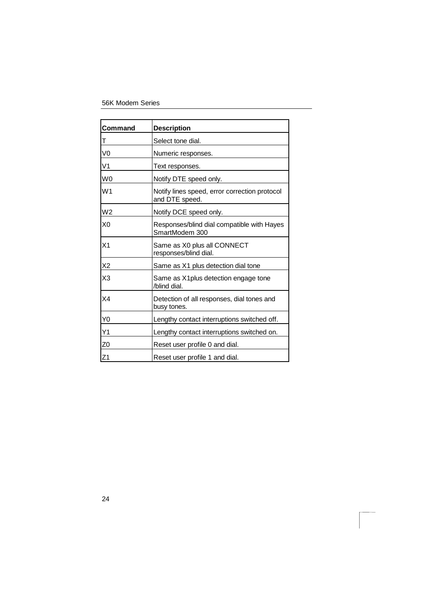| Command        | <b>Description</b>                                              |
|----------------|-----------------------------------------------------------------|
| т              | Select tone dial.                                               |
| V0             | Numeric responses.                                              |
| V <sub>1</sub> | Text responses.                                                 |
| W <sub>0</sub> | Notify DTE speed only.                                          |
| W <sub>1</sub> | Notify lines speed, error correction protocol<br>and DTE speed. |
| W <sub>2</sub> | Notify DCE speed only.                                          |
| X <sub>0</sub> | Responses/blind dial compatible with Hayes<br>SmartModem 300    |
| X <sub>1</sub> | Same as X0 plus all CONNECT<br>responses/blind dial.            |
| X2             | Same as X1 plus detection dial tone                             |
| X3             | Same as X1 plus detection engage tone<br>/blind dial.           |
| X4             | Detection of all responses, dial tones and<br>busy tones.       |
| Y0             | Lengthy contact interruptions switched off.                     |
| Υ1             | Lengthy contact interruptions switched on.                      |
| Z0             | Reset user profile 0 and dial.                                  |
| Z1             | Reset user profile 1 and dial.                                  |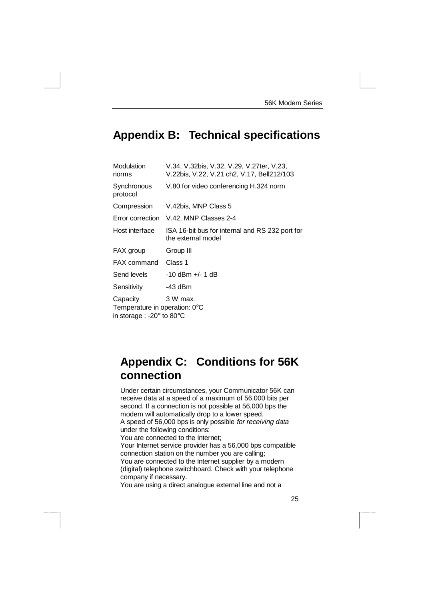# **Appendix B: Technical specifications**

| Modulation<br>norms                                                                       | V.34, V.32bis, V.32, V.29, V.27ter, V.23,<br>V.22bis, V.22, V.21 ch2, V.17, Bell212/103 |
|-------------------------------------------------------------------------------------------|-----------------------------------------------------------------------------------------|
| Synchronous<br>protocol                                                                   | V.80 for video conferencing H.324 norm                                                  |
| Compression                                                                               | V.42bis, MNP Class 5                                                                    |
| Error correction                                                                          | V.42, MNP Classes 2-4                                                                   |
| Host interface                                                                            | ISA 16-bit bus for internal and RS 232 port for<br>the external model                   |
| FAX group                                                                                 | Group III                                                                               |
| <b>FAX</b> command                                                                        | Class 1                                                                                 |
| Send levels                                                                               | $-10$ dBm $+/- 1$ dB                                                                    |
| Sensitivity                                                                               | -43 dBm                                                                                 |
| Capacity<br>Temperature in operation: 0°C<br>in storage : -20 $\degree$ to 80 $\degree$ C | 3 W max.                                                                                |

# **Appendix C: Conditions for 56K connection**

Under certain circumstances, your Communicator 56K can receive data at a speed of a maximum of 56,000 bits per second. If a connection is not possible at 56,000 bps the modem will automatically drop to a lower speed. A speed of 56,000 bps is only possible for receiving data under the following conditions: You are connected to the Internet; Your Internet service provider has a 56,000 bps compatible

connection station on the number you are calling; You are connected to the Internet supplier by a modern (digital) telephone switchboard. Check with your telephone company if necessary.

You are using a direct analogue external line and not a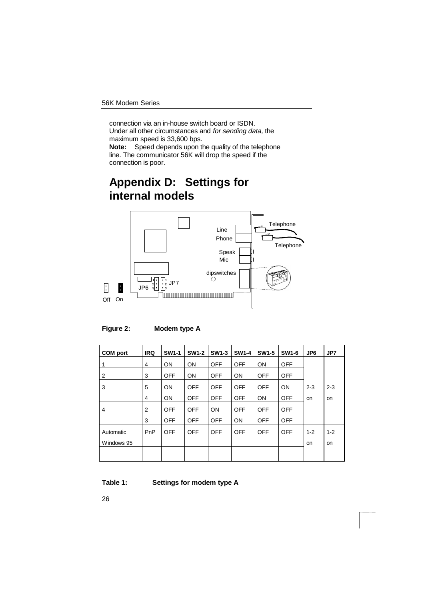connection via an in-house switch board or ISDN. Under all other circumstances and for sending data, the maximum speed is 33,600 bps.

**Note:** Speed depends upon the quality of the telephone line. The communicator 56K will drop the speed if the connection is poor.

# **Appendix D: Settings for internal models**



**Figure 2: Modem type A**

| <b>COM</b> port | <b>IRQ</b> | <b>SW1-1</b> | <b>SW1-2</b> | <b>SW1-3</b> | <b>SW1-4</b> | <b>SW1-5</b> | <b>SW1-6</b> | JP6       | JP7       |
|-----------------|------------|--------------|--------------|--------------|--------------|--------------|--------------|-----------|-----------|
|                 | 4          | <b>ON</b>    | <b>ON</b>    | <b>OFF</b>   | <b>OFF</b>   | <b>ON</b>    | <b>OFF</b>   |           |           |
| 2               | 3          | <b>OFF</b>   | ON           | <b>OFF</b>   | <b>ON</b>    | <b>OFF</b>   | <b>OFF</b>   |           |           |
| 3               | 5          | ON           | <b>OFF</b>   | <b>OFF</b>   | <b>OFF</b>   | <b>OFF</b>   | ON           | $2 - 3$   | $2 - 3$   |
|                 | 4          | <b>ON</b>    | <b>OFF</b>   | <b>OFF</b>   | <b>OFF</b>   | <b>ON</b>    | <b>OFF</b>   | <b>on</b> | <b>on</b> |
| 4               | 2          | <b>OFF</b>   | <b>OFF</b>   | ON           | <b>OFF</b>   | <b>OFF</b>   | <b>OFF</b>   |           |           |
|                 | 3          | <b>OFF</b>   | <b>OFF</b>   | <b>OFF</b>   | <b>ON</b>    | <b>OFF</b>   | <b>OFF</b>   |           |           |
| Automatic       | PnP        | <b>OFF</b>   | <b>OFF</b>   | <b>OFF</b>   | <b>OFF</b>   | <b>OFF</b>   | OFF          | $1 - 2$   | $1 - 2$   |
| Windows 95      |            |              |              |              |              |              |              | <b>on</b> | <b>on</b> |
|                 |            |              |              |              |              |              |              |           |           |

**Table 1: Settings for modem type A**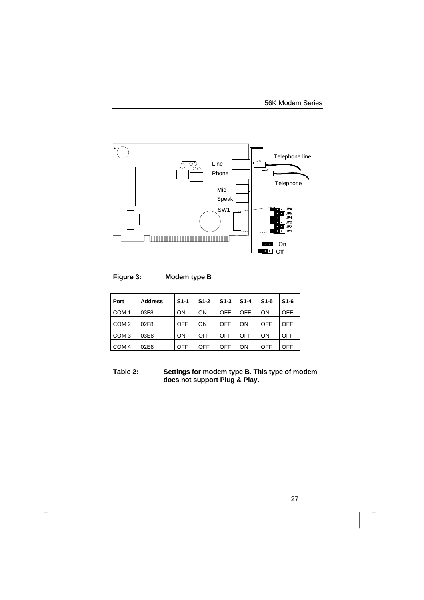

### **Figure 3: Modem type B**

| Port             | <b>Address</b> | $S1-1$     | $S1-2$     | $S1-3$ | $S1-4$    | $S1-5$ | $S1-6$     |
|------------------|----------------|------------|------------|--------|-----------|--------|------------|
| COM <sub>1</sub> | 03F8           | <b>ON</b>  | <b>ON</b>  | OFF    | OFF       | ON     | <b>OFF</b> |
| COM <sub>2</sub> | 02F8           | <b>OFF</b> | ON         | OFF    | ON        | OFF    | <b>OFF</b> |
| COM <sub>3</sub> | 03E8           | <b>ON</b>  | <b>OFF</b> | OFF    | OFF       | ON     | <b>OFF</b> |
| COM <sub>4</sub> | 02E8           | <b>OFF</b> | OFF        | OFF    | <b>ON</b> | OFF    | <b>OFF</b> |

**Table 2: Settings for modem type B. This type of modem does not support Plug & Play.**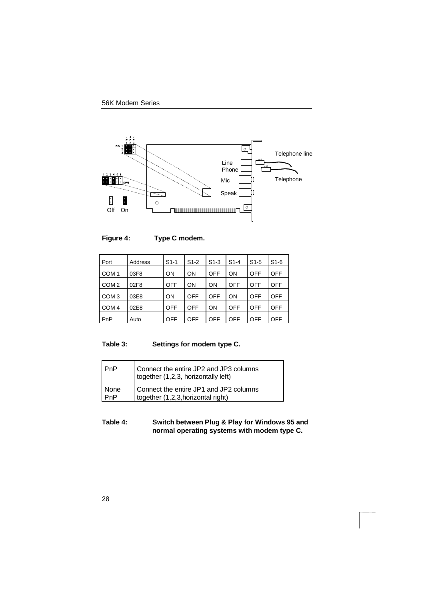



| Port             | Address | $S1-1$     | $S1-2$     | $S1-3$    | $S1-4$     | $S1-5$ | $S1-6$     |
|------------------|---------|------------|------------|-----------|------------|--------|------------|
| COM <sub>1</sub> | 03F8    | <b>ON</b>  | <b>ON</b>  | OFF       | <b>ON</b>  | OFF    | <b>OFF</b> |
| COM <sub>2</sub> | 02F8    | <b>OFF</b> | <b>ON</b>  | <b>ON</b> | <b>OFF</b> | OFF    | <b>OFF</b> |
| COM <sub>3</sub> | 03E8    | <b>ON</b>  | <b>OFF</b> | OFF       | <b>ON</b>  | OFF    | <b>OFF</b> |
| COM <sub>4</sub> | 02E8    | <b>OFF</b> | <b>OFF</b> | <b>ON</b> | OFF        | OFF    | <b>OFF</b> |
| PnP              | Auto    | <b>OFF</b> | OFF        | OFF       | OFF        | OFF    | <b>OFF</b> |

## **Table 3: Settings for modem type C.**

| l PnP  | Connect the entire JP2 and JP3 columns<br>together (1,2,3, horizontally left) |
|--------|-------------------------------------------------------------------------------|
| l None | Connect the entire JP1 and JP2 columns                                        |
| PnP    | together (1,2,3, horizontal right)                                            |

### **Table 4: Switch between Plug & Play for Windows 95 and normal operating systems with modem type C.**